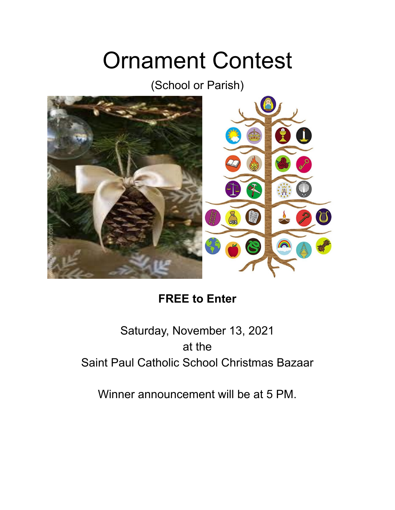# Ornament Contest

(School or Parish)



## **FREE to Enter**

# Saturday, November 13, 2021 at the Saint Paul Catholic School Christmas Bazaar

Winner announcement will be at 5 PM.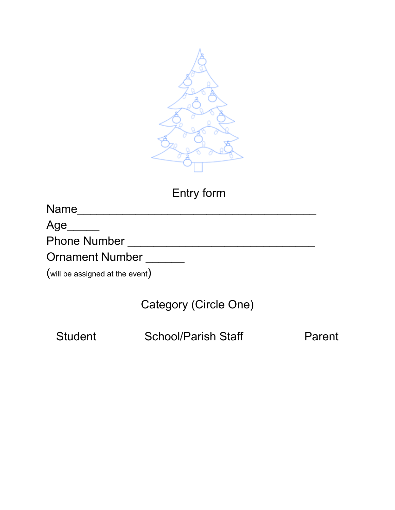

## Entry form

| <b>Name</b> |
|-------------|
|             |

Age\_\_\_\_\_

Phone Number \_\_\_\_\_\_\_\_\_\_\_\_\_\_\_\_\_\_\_\_\_\_\_\_\_\_\_\_\_

Ornament Number \_\_\_\_\_\_

(will be assigned at the event)

Category (Circle One)

Student School/Parish Staff Parent